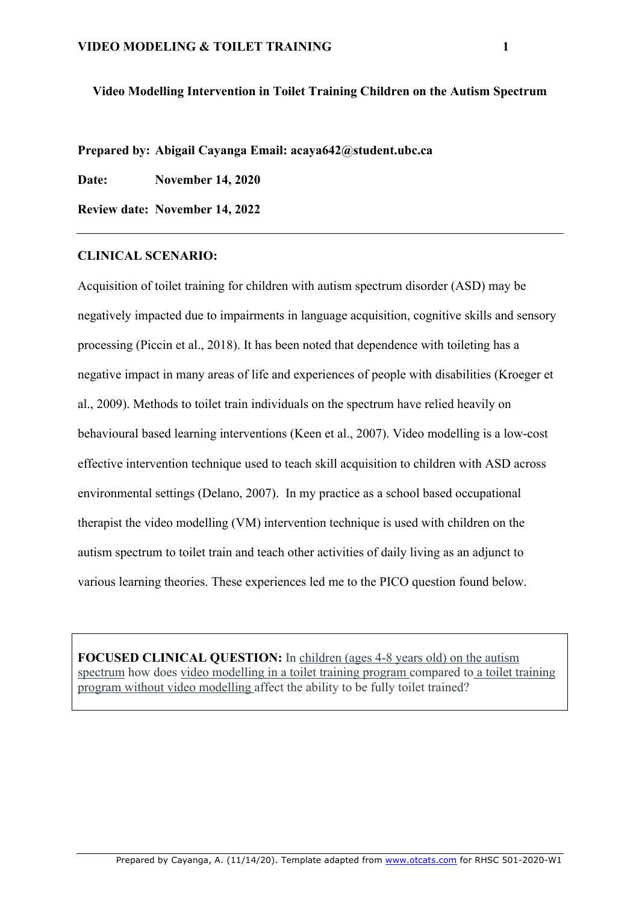### **Video Modelling Intervention in Toilet Training Children on the Autism Spectrum**

**Prepared by: Abigail Cayanga Email: acaya642@student.ubc.ca**

**Date: November 14, 2020**

**Review date: November 14, 2022**

## **CLINICAL SCENARIO:**

Acquisition of toilet training for children with autism spectrum disorder (ASD) may be negatively impacted due to impairments in language acquisition, cognitive skills and sensory processing (Piccin et al., 2018). It has been noted that dependence with toileting has a negative impact in many areas of life and experiences of people with disabilities (Kroeger et al., 2009). Methods to toilet train individuals on the spectrum have relied heavily on behavioural based learning interventions (Keen et al., 2007). Video modelling is a low-cost effective intervention technique used to teach skill acquisition to children with ASD across environmental settings (Delano, 2007). In my practice as a school based occupational therapist the video modelling (VM) intervention technique is used with children on the autism spectrum to toilet train and teach other activities of daily living as an adjunct to various learning theories. These experiences led me to the PICO question found below.

**FOCUSED CLINICAL OUESTION:** In children (ages 4-8 years old) on the autism spectrum how does video modelling in a toilet training program compared to a toilet training program without video modelling affect the ability to be fully toilet trained?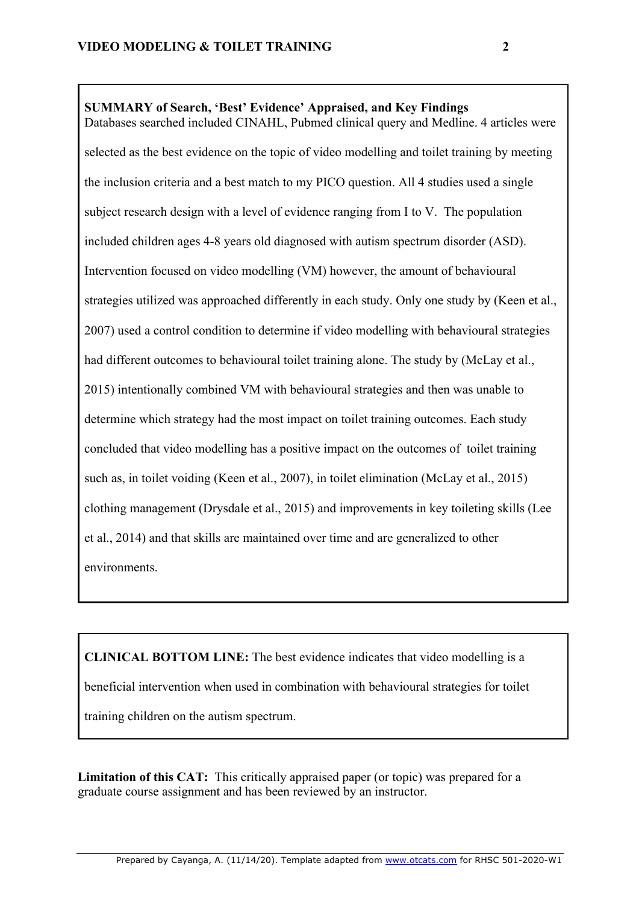# **SUMMARY of Search, 'Best' Evidence' Appraised, and Key Findings**

Databases searched included CINAHL, Pubmed clinical query and Medline. 4 articles were selected as the best evidence on the topic of video modelling and toilet training by meeting the inclusion criteria and a best match to my PICO question. All 4 studies used a single subject research design with a level of evidence ranging from I to V. The population included children ages 4-8 years old diagnosed with autism spectrum disorder (ASD). Intervention focused on video modelling (VM) however, the amount of behavioural strategies utilized was approached differently in each study. Only one study by (Keen et al., 2007) used a control condition to determine if video modelling with behavioural strategies had different outcomes to behavioural toilet training alone. The study by (McLay et al., 2015) intentionally combined VM with behavioural strategies and then was unable to determine which strategy had the most impact on toilet training outcomes. Each study concluded that video modelling has a positive impact on the outcomes of toilet training such as, in toilet voiding (Keen et al., 2007), in toilet elimination (McLay et al., 2015) clothing management (Drysdale et al., 2015) and improvements in key toileting skills (Lee et al., 2014) and that skills are maintained over time and are generalized to other environments.

**CLINICAL BOTTOM LINE:** The best evidence indicates that video modelling is a beneficial intervention when used in combination with behavioural strategies for toilet training children on the autism spectrum.

**Limitation of this CAT:** This critically appraised paper (or topic) was prepared for a graduate course assignment and has been reviewed by an instructor.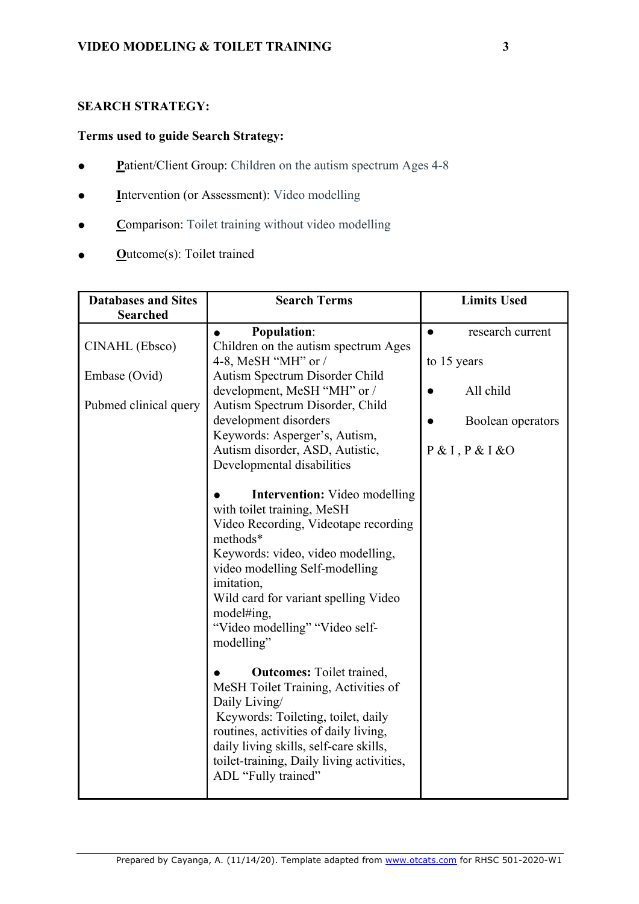## **SEARCH STRATEGY:**

## **Terms used to guide Search Strategy:**

- **P**atient/Client Group: Children on the autism spectrum Ages 4-8
- **I**ntervention (or Assessment): Video modelling
- **C**omparison: Toilet training without video modelling
- **O**utcome(s): Toilet trained

| <b>Databases and Sites</b><br><b>Searched</b> | <b>Search Terms</b>                       | <b>Limits Used</b> |  |
|-----------------------------------------------|-------------------------------------------|--------------------|--|
|                                               |                                           |                    |  |
|                                               | <b>Population:</b>                        | research current   |  |
| CINAHL (Ebsco)                                | Children on the autism spectrum Ages      |                    |  |
|                                               | 4-8, MeSH "MH" or /                       | to 15 years        |  |
| Embase (Ovid)                                 | Autism Spectrum Disorder Child            |                    |  |
|                                               | development, MeSH "MH" or /               | All child          |  |
| Pubmed clinical query                         | Autism Spectrum Disorder, Child           |                    |  |
|                                               | development disorders                     | Boolean operators  |  |
|                                               | Keywords: Asperger's, Autism,             |                    |  |
|                                               | Autism disorder, ASD, Autistic,           | P & I, P & I & 0   |  |
|                                               | Developmental disabilities                |                    |  |
|                                               |                                           |                    |  |
|                                               | <b>Intervention:</b> Video modelling      |                    |  |
|                                               | with toilet training, MeSH                |                    |  |
|                                               | Video Recording, Videotape recording      |                    |  |
|                                               | methods*                                  |                    |  |
|                                               | Keywords: video, video modelling,         |                    |  |
|                                               | video modelling Self-modelling            |                    |  |
|                                               | imitation,                                |                    |  |
|                                               | Wild card for variant spelling Video      |                    |  |
|                                               | model#ing,                                |                    |  |
|                                               | "Video modelling" "Video self-            |                    |  |
|                                               | modelling"                                |                    |  |
|                                               |                                           |                    |  |
|                                               | <b>Outcomes:</b> Toilet trained,          |                    |  |
|                                               | MeSH Toilet Training, Activities of       |                    |  |
|                                               | Daily Living/                             |                    |  |
|                                               | Keywords: Toileting, toilet, daily        |                    |  |
|                                               | routines, activities of daily living,     |                    |  |
|                                               | daily living skills, self-care skills,    |                    |  |
|                                               | toilet-training, Daily living activities, |                    |  |
|                                               | ADL "Fully trained"                       |                    |  |
|                                               |                                           |                    |  |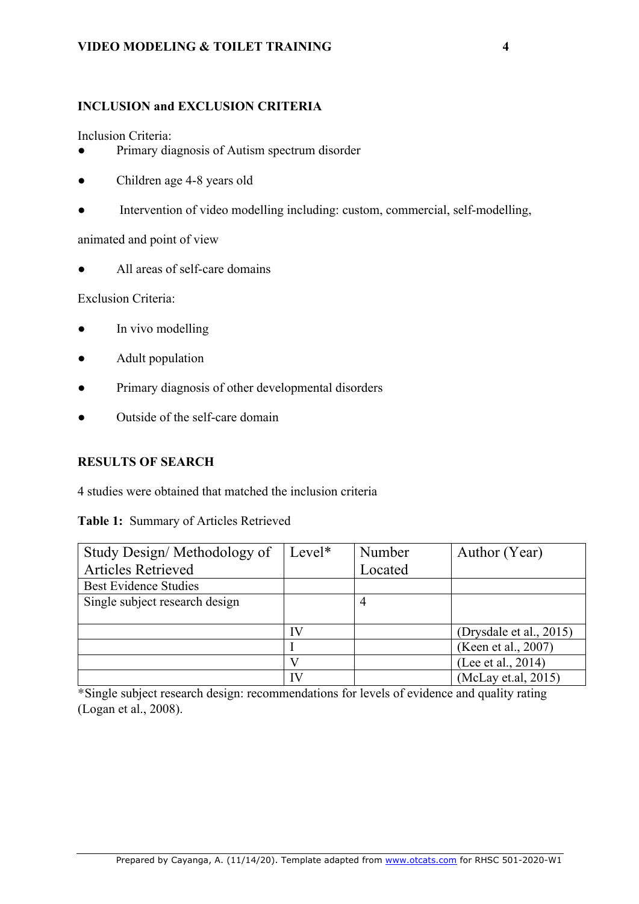## **VIDEO MODELING & TOILET TRAINING 4**

## **INCLUSION and EXCLUSION CRITERIA**

Inclusion Criteria:

- Primary diagnosis of Autism spectrum disorder
- Children age 4-8 years old
- Intervention of video modelling including: custom, commercial, self-modelling,

animated and point of view

All areas of self-care domains

Exclusion Criteria:

- In vivo modelling
- Adult population
- Primary diagnosis of other developmental disorders
- Outside of the self-care domain

## **RESULTS OF SEARCH**

4 studies were obtained that matched the inclusion criteria

## **Table 1:** Summary of Articles Retrieved

| Study Design/Methodology of    | $Level*$ | Number  | Author (Year)           |
|--------------------------------|----------|---------|-------------------------|
| <b>Articles Retrieved</b>      |          | Located |                         |
| <b>Best Evidence Studies</b>   |          |         |                         |
| Single subject research design |          |         |                         |
|                                |          |         |                         |
|                                | IV       |         | (Drysdale et al., 2015) |
|                                |          |         | (Keen et al., 2007)     |
|                                |          |         | (Lee et al., 2014)      |
|                                | IV       |         | (McLay et.al, 2015)     |

\*Single subject research design: recommendations for levels of evidence and quality rating (Logan et al., 2008).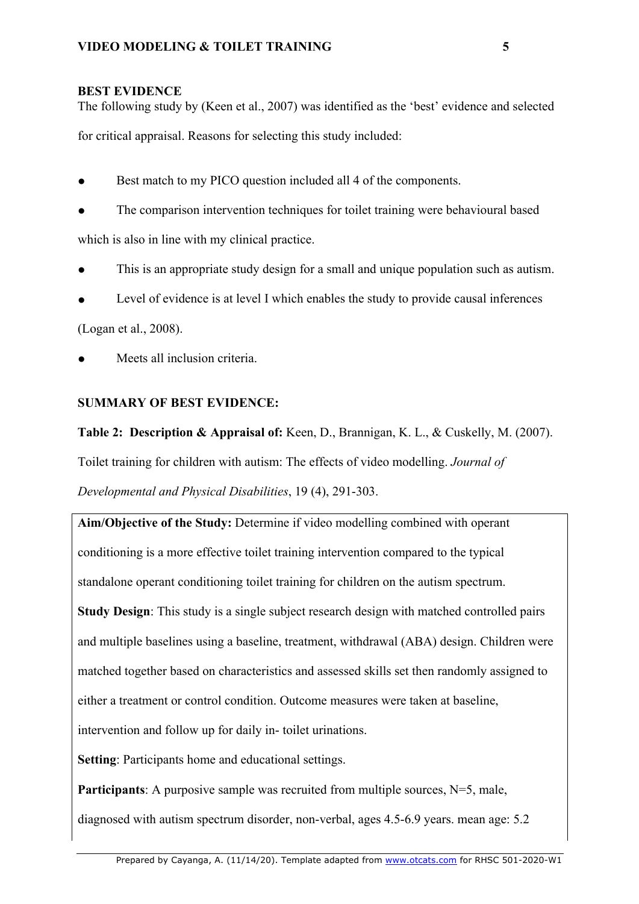## **BEST EVIDENCE**

The following study by (Keen et al., 2007) was identified as the 'best' evidence and selected

for critical appraisal. Reasons for selecting this study included:

- Best match to my PICO question included all 4 of the components.
- The comparison intervention techniques for toilet training were behavioural based

which is also in line with my clinical practice.

- This is an appropriate study design for a small and unique population such as autism.
- Level of evidence is at level I which enables the study to provide causal inferences

(Logan et al., 2008).

Meets all inclusion criteria.

## **SUMMARY OF BEST EVIDENCE:**

**Table 2: Description & Appraisal of:** Keen, D., Brannigan, K. L., & Cuskelly, M. (2007).

Toilet training for children with autism: The effects of video modelling. *Journal of* 

*Developmental and Physical Disabilities*, 19 (4), 291-303.

**Aim/Objective of the Study:** Determine if video modelling combined with operant conditioning is a more effective toilet training intervention compared to the typical standalone operant conditioning toilet training for children on the autism spectrum. **Study Design**: This study is a single subject research design with matched controlled pairs and multiple baselines using a baseline, treatment, withdrawal (ABA) design. Children were matched together based on characteristics and assessed skills set then randomly assigned to either a treatment or control condition. Outcome measures were taken at baseline, intervention and follow up for daily in- toilet urinations. **Setting**: Participants home and educational settings.

**Participants**: A purposive sample was recruited from multiple sources, N=5, male,

diagnosed with autism spectrum disorder, non-verbal, ages 4.5-6.9 years. mean age: 5.2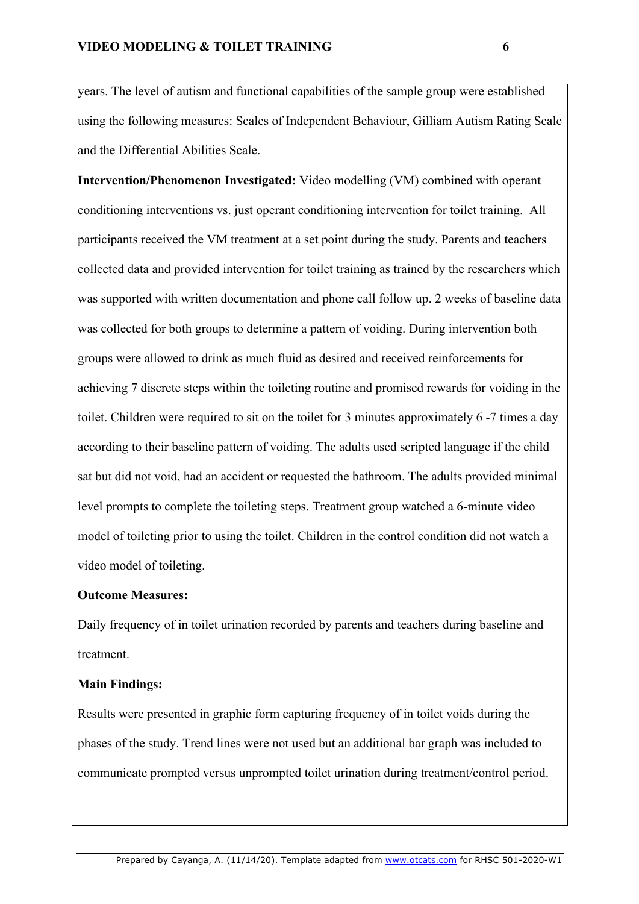years. The level of autism and functional capabilities of the sample group were established using the following measures: Scales of Independent Behaviour, Gilliam Autism Rating Scale and the Differential Abilities Scale.

**Intervention/Phenomenon Investigated:** Video modelling (VM) combined with operant conditioning interventions vs. just operant conditioning intervention for toilet training. All participants received the VM treatment at a set point during the study. Parents and teachers collected data and provided intervention for toilet training as trained by the researchers which was supported with written documentation and phone call follow up. 2 weeks of baseline data was collected for both groups to determine a pattern of voiding. During intervention both groups were allowed to drink as much fluid as desired and received reinforcements for achieving 7 discrete steps within the toileting routine and promised rewards for voiding in the toilet. Children were required to sit on the toilet for 3 minutes approximately 6 -7 times a day according to their baseline pattern of voiding. The adults used scripted language if the child sat but did not void, had an accident or requested the bathroom. The adults provided minimal level prompts to complete the toileting steps. Treatment group watched a 6-minute video model of toileting prior to using the toilet. Children in the control condition did not watch a video model of toileting.

## **Outcome Measures:**

Daily frequency of in toilet urination recorded by parents and teachers during baseline and treatment.

#### **Main Findings:**

Results were presented in graphic form capturing frequency of in toilet voids during the phases of the study. Trend lines were not used but an additional bar graph was included to communicate prompted versus unprompted toilet urination during treatment/control period.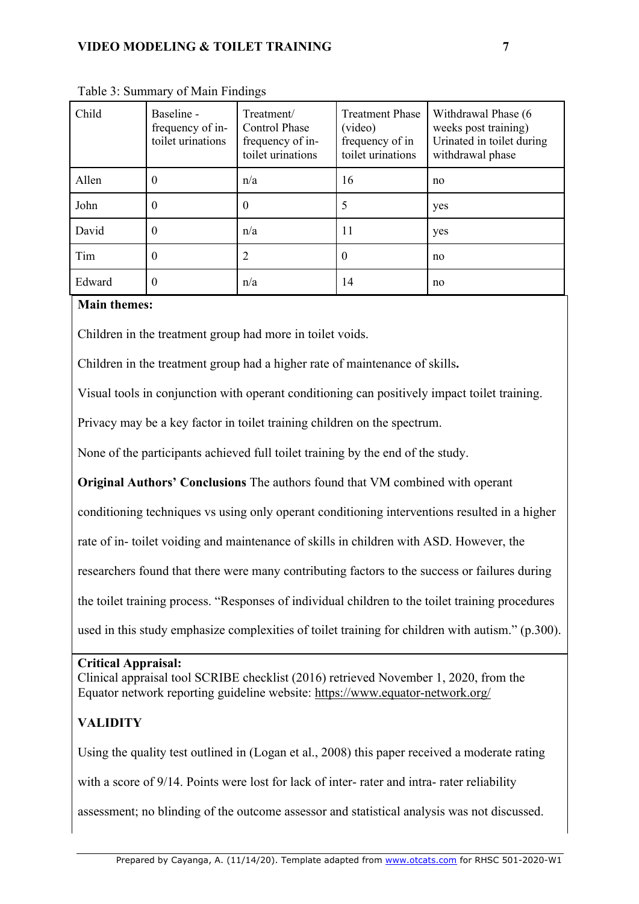| Child  | Baseline -<br>frequency of in-<br>toilet urinations | Treatment/<br><b>Control Phase</b><br>frequency of in-<br>toilet urinations | <b>Treatment Phase</b><br>(video)<br>frequency of in<br>toilet urinations | Withdrawal Phase (6<br>weeks post training)<br>Urinated in toilet during<br>withdrawal phase |
|--------|-----------------------------------------------------|-----------------------------------------------------------------------------|---------------------------------------------------------------------------|----------------------------------------------------------------------------------------------|
| Allen  | $\overline{0}$                                      | n/a                                                                         | 16                                                                        | no                                                                                           |
| John   | $\theta$                                            | 0                                                                           | 5                                                                         | yes                                                                                          |
| David  | $\boldsymbol{0}$                                    | n/a                                                                         | 11                                                                        | yes                                                                                          |
| Tim    | $\theta$                                            |                                                                             |                                                                           | no                                                                                           |
| Edward | $\boldsymbol{0}$                                    | n/a                                                                         | 14                                                                        | no                                                                                           |

Table 3: Summary of Main Findings

## **Main themes:**

Children in the treatment group had more in toilet voids.

Children in the treatment group had a higher rate of maintenance of skills**.** 

Visual tools in conjunction with operant conditioning can positively impact toilet training.

Privacy may be a key factor in toilet training children on the spectrum.

None of the participants achieved full toilet training by the end of the study.

**Original Authors' Conclusions** The authors found that VM combined with operant

conditioning techniques vs using only operant conditioning interventions resulted in a higher

rate of in- toilet voiding and maintenance of skills in children with ASD. However, the

researchers found that there were many contributing factors to the success or failures during

the toilet training process. "Responses of individual children to the toilet training procedures

used in this study emphasize complexities of toilet training for children with autism." (p.300).

## **Critical Appraisal:**

Clinical appraisal tool SCRIBE checklist (2016) retrieved November 1, 2020, from the Equator network reporting guideline website: https://www.equator-network.org/

# **VALIDITY**

Using the quality test outlined in (Logan et al., 2008) this paper received a moderate rating

with a score of 9/14. Points were lost for lack of inter- rater and intra- rater reliability

assessment; no blinding of the outcome assessor and statistical analysis was not discussed.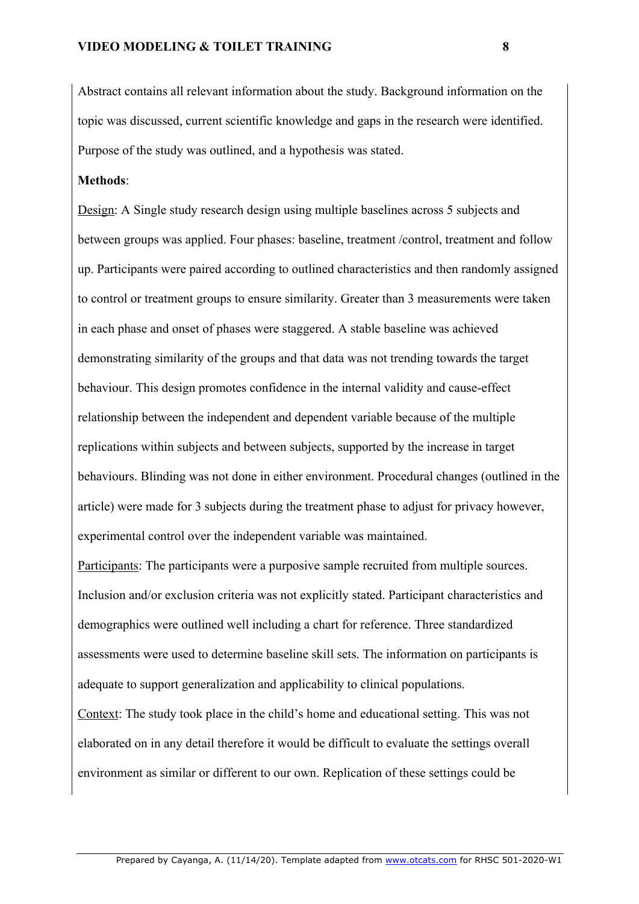Abstract contains all relevant information about the study. Background information on the topic was discussed, current scientific knowledge and gaps in the research were identified. Purpose of the study was outlined, and a hypothesis was stated.

#### **Methods**:

Design: A Single study research design using multiple baselines across 5 subjects and between groups was applied. Four phases: baseline, treatment /control, treatment and follow up. Participants were paired according to outlined characteristics and then randomly assigned to control or treatment groups to ensure similarity. Greater than 3 measurements were taken in each phase and onset of phases were staggered. A stable baseline was achieved demonstrating similarity of the groups and that data was not trending towards the target behaviour. This design promotes confidence in the internal validity and cause-effect relationship between the independent and dependent variable because of the multiple replications within subjects and between subjects, supported by the increase in target behaviours. Blinding was not done in either environment. Procedural changes (outlined in the article) were made for 3 subjects during the treatment phase to adjust for privacy however, experimental control over the independent variable was maintained.

Participants: The participants were a purposive sample recruited from multiple sources. Inclusion and/or exclusion criteria was not explicitly stated. Participant characteristics and demographics were outlined well including a chart for reference. Three standardized assessments were used to determine baseline skill sets. The information on participants is adequate to support generalization and applicability to clinical populations.

Context: The study took place in the child's home and educational setting. This was not elaborated on in any detail therefore it would be difficult to evaluate the settings overall environment as similar or different to our own. Replication of these settings could be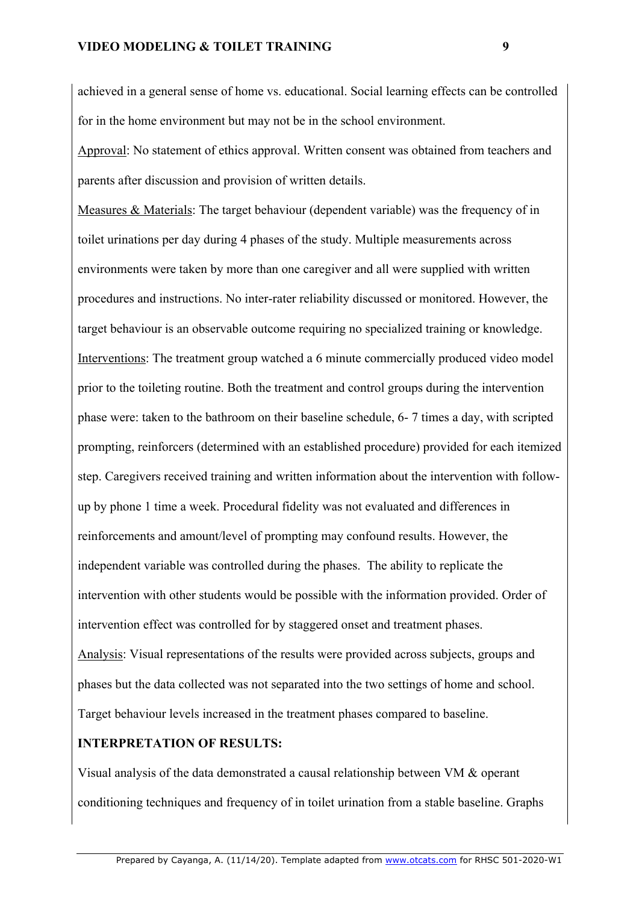### **VIDEO MODELING & TOILET TRAINING 9**

achieved in a general sense of home vs. educational. Social learning effects can be controlled for in the home environment but may not be in the school environment.

Approval: No statement of ethics approval. Written consent was obtained from teachers and parents after discussion and provision of written details.

Measures & Materials: The target behaviour (dependent variable) was the frequency of in toilet urinations per day during 4 phases of the study. Multiple measurements across environments were taken by more than one caregiver and all were supplied with written procedures and instructions. No inter-rater reliability discussed or monitored. However, the target behaviour is an observable outcome requiring no specialized training or knowledge. Interventions: The treatment group watched a 6 minute commercially produced video model prior to the toileting routine. Both the treatment and control groups during the intervention phase were: taken to the bathroom on their baseline schedule, 6- 7 times a day, with scripted prompting, reinforcers (determined with an established procedure) provided for each itemized step. Caregivers received training and written information about the intervention with followup by phone 1 time a week. Procedural fidelity was not evaluated and differences in reinforcements and amount/level of prompting may confound results. However, the independent variable was controlled during the phases. The ability to replicate the intervention with other students would be possible with the information provided. Order of intervention effect was controlled for by staggered onset and treatment phases. Analysis: Visual representations of the results were provided across subjects, groups and phases but the data collected was not separated into the two settings of home and school. Target behaviour levels increased in the treatment phases compared to baseline.

## **INTERPRETATION OF RESULTS:**

Visual analysis of the data demonstrated a causal relationship between VM & operant conditioning techniques and frequency of in toilet urination from a stable baseline. Graphs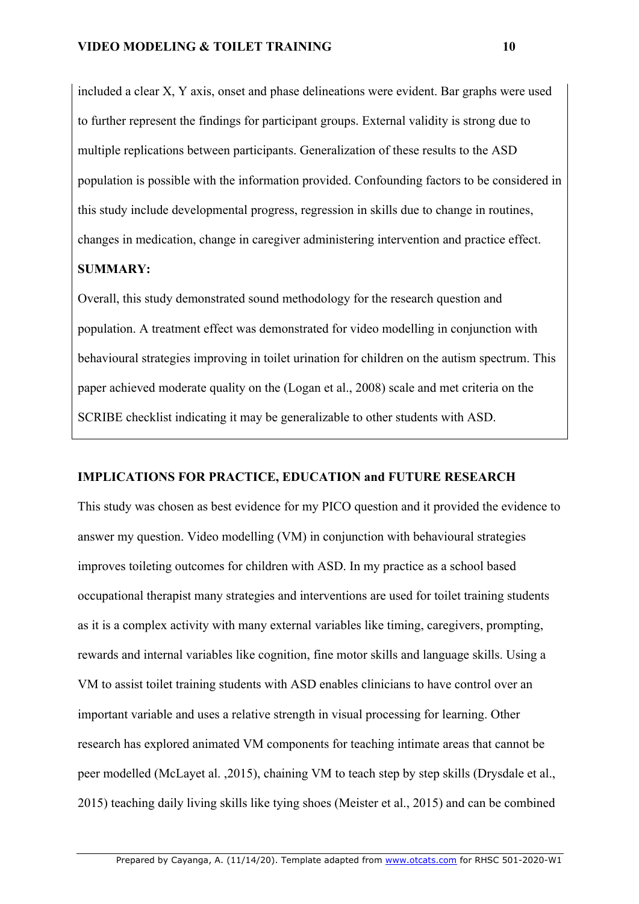included a clear X, Y axis, onset and phase delineations were evident. Bar graphs were used to further represent the findings for participant groups. External validity is strong due to multiple replications between participants. Generalization of these results to the ASD population is possible with the information provided. Confounding factors to be considered in this study include developmental progress, regression in skills due to change in routines, changes in medication, change in caregiver administering intervention and practice effect.

## **SUMMARY:**

Overall, this study demonstrated sound methodology for the research question and population. A treatment effect was demonstrated for video modelling in conjunction with behavioural strategies improving in toilet urination for children on the autism spectrum. This paper achieved moderate quality on the (Logan et al., 2008) scale and met criteria on the SCRIBE checklist indicating it may be generalizable to other students with ASD.

## **IMPLICATIONS FOR PRACTICE, EDUCATION and FUTURE RESEARCH**

This study was chosen as best evidence for my PICO question and it provided the evidence to answer my question. Video modelling (VM) in conjunction with behavioural strategies improves toileting outcomes for children with ASD. In my practice as a school based occupational therapist many strategies and interventions are used for toilet training students as it is a complex activity with many external variables like timing, caregivers, prompting, rewards and internal variables like cognition, fine motor skills and language skills. Using a VM to assist toilet training students with ASD enables clinicians to have control over an important variable and uses a relative strength in visual processing for learning. Other research has explored animated VM components for teaching intimate areas that cannot be peer modelled (McLayet al. ,2015), chaining VM to teach step by step skills (Drysdale et al., 2015) teaching daily living skills like tying shoes (Meister et al., 2015) and can be combined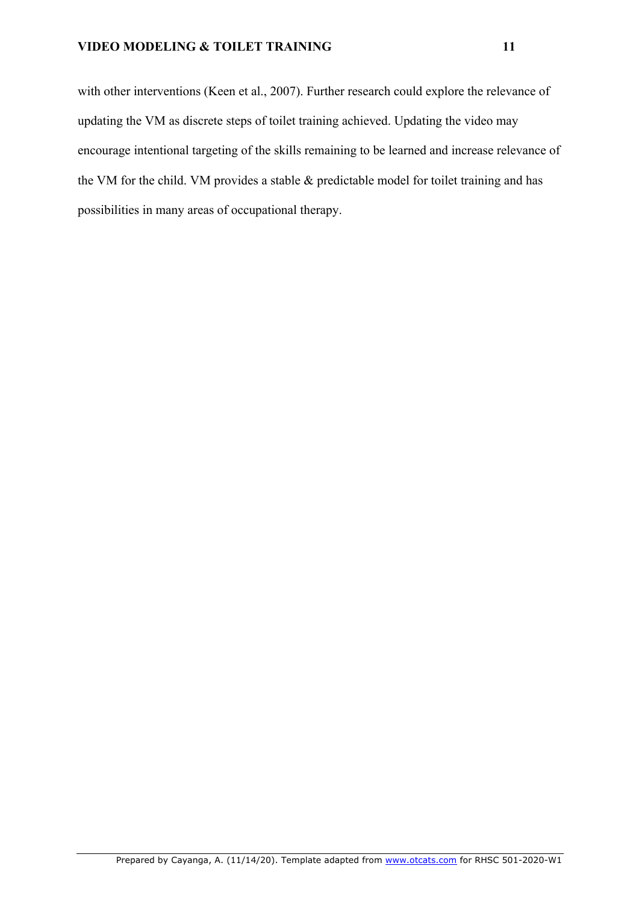with other interventions (Keen et al., 2007). Further research could explore the relevance of updating the VM as discrete steps of toilet training achieved. Updating the video may encourage intentional targeting of the skills remaining to be learned and increase relevance of the VM for the child. VM provides a stable & predictable model for toilet training and has possibilities in many areas of occupational therapy.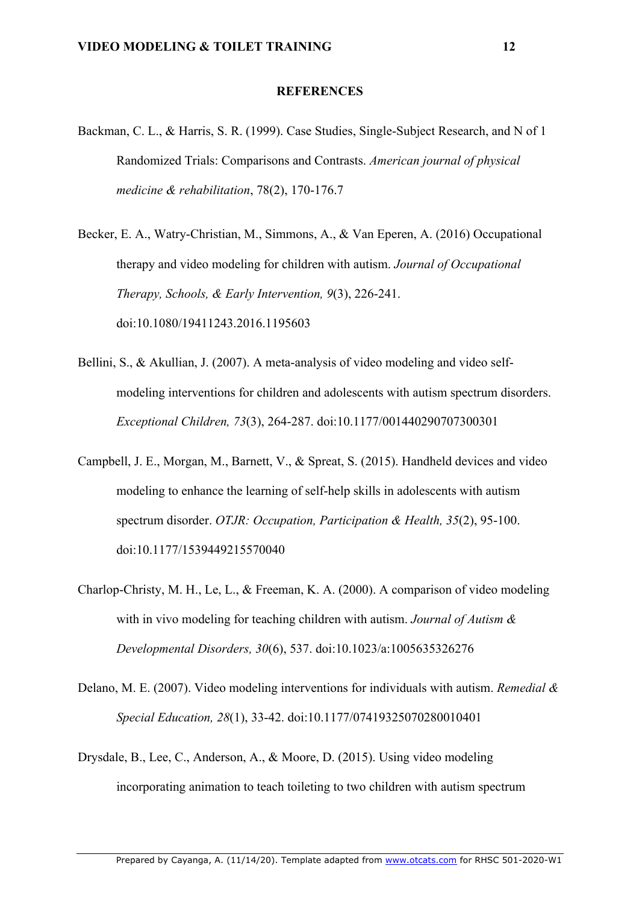#### **REFERENCES**

- Backman, C. L., & Harris, S. R. (1999). Case Studies, Single-Subject Research, and N of 1 Randomized Trials: Comparisons and Contrasts. *American journal of physical medicine & rehabilitation*, 78(2), 170-176.7
- Becker, E. A., Watry-Christian, M., Simmons, A., & Van Eperen, A. (2016) Occupational therapy and video modeling for children with autism. *Journal of Occupational Therapy, Schools, & Early Intervention, 9*(3), 226-241. doi:10.1080/19411243.2016.1195603
- Bellini, S., & Akullian, J. (2007). A meta-analysis of video modeling and video selfmodeling interventions for children and adolescents with autism spectrum disorders. *Exceptional Children, 73*(3), 264-287. doi:10.1177/001440290707300301
- Campbell, J. E., Morgan, M., Barnett, V., & Spreat, S. (2015). Handheld devices and video modeling to enhance the learning of self-help skills in adolescents with autism spectrum disorder. *OTJR: Occupation, Participation & Health, 35*(2), 95-100. doi:10.1177/1539449215570040
- Charlop-Christy, M. H., Le, L., & Freeman, K. A. (2000). A comparison of video modeling with in vivo modeling for teaching children with autism. *Journal of Autism & Developmental Disorders, 30*(6), 537. doi:10.1023/a:1005635326276
- Delano, M. E. (2007). Video modeling interventions for individuals with autism. *Remedial & Special Education, 28*(1), 33-42. doi:10.1177/07419325070280010401
- Drysdale, B., Lee, C., Anderson, A., & Moore, D. (2015). Using video modeling incorporating animation to teach toileting to two children with autism spectrum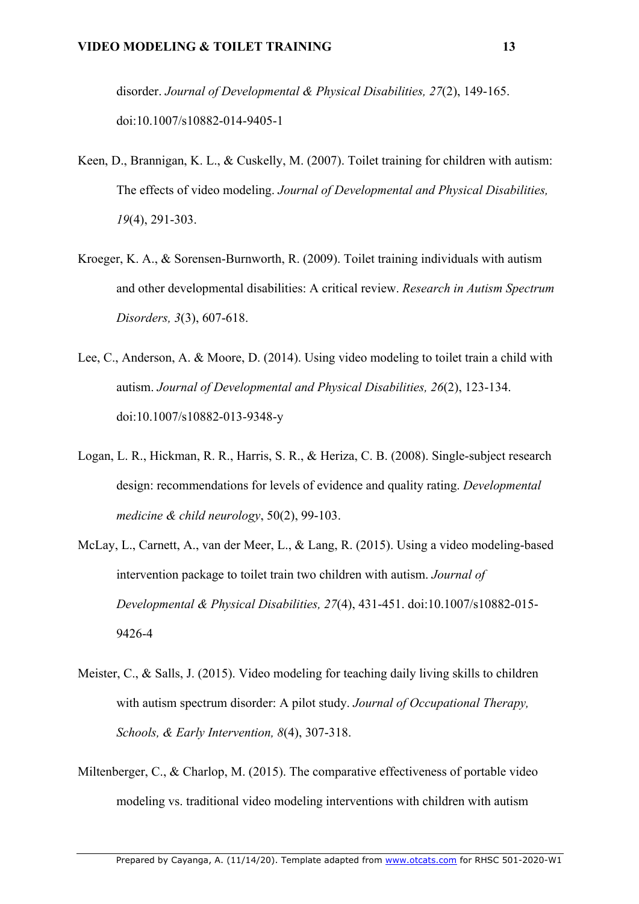disorder. *Journal of Developmental & Physical Disabilities, 27*(2), 149-165. doi:10.1007/s10882-014-9405-1

- Keen, D., Brannigan, K. L., & Cuskelly, M. (2007). Toilet training for children with autism: The effects of video modeling. *Journal of Developmental and Physical Disabilities, 19*(4), 291-303.
- Kroeger, K. A., & Sorensen-Burnworth, R. (2009). Toilet training individuals with autism and other developmental disabilities: A critical review. *Research in Autism Spectrum Disorders, 3*(3), 607-618.
- Lee, C., Anderson, A. & Moore, D. (2014). Using video modeling to toilet train a child with autism. *Journal of Developmental and Physical Disabilities, 26*(2), 123-134. doi:10.1007/s10882-013-9348-y
- Logan, L. R., Hickman, R. R., Harris, S. R., & Heriza, C. B. (2008). Single-subject research design: recommendations for levels of evidence and quality rating. *Developmental medicine & child neurology*, 50(2), 99-103.
- McLay, L., Carnett, A., van der Meer, L., & Lang, R. (2015). Using a video modeling-based intervention package to toilet train two children with autism. *Journal of Developmental & Physical Disabilities, 27*(4), 431-451. doi:10.1007/s10882-015- 9426-4
- Meister, C., & Salls, J. (2015). Video modeling for teaching daily living skills to children with autism spectrum disorder: A pilot study. *Journal of Occupational Therapy, Schools, & Early Intervention, 8*(4), 307-318.
- Miltenberger, C., & Charlop, M. (2015). The comparative effectiveness of portable video modeling vs. traditional video modeling interventions with children with autism